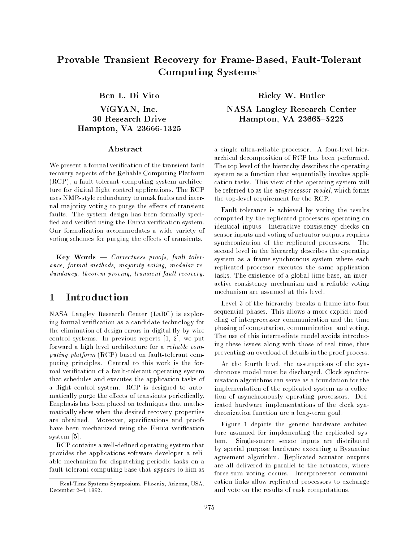## Provable Transient Recovery for Frame-Based, Fault-Tolerant Computing  $\text{Systems}^1$

Ben L. Di Vito

VíGYAN, Inc. **30 Research Drive** Hampton, VA 23666-1325

We present a formal verification of the transient fault recovery aspects of the Reliable Computing Platform (RCP), a fault-tolerant computing system architecture for digital flight control applications. The RCP uses NMR-style redundancy to mask faults and internal majority voting to purge the effects of transient faults. The system design has been formally speci fied and verified using the EHDM verification system. Our formalization accommodates a wide variety of voting schemes for purging the effects of transients.

 $Key Words - Correctness proofs, fault toler$ ance, formal methods, majority voting, modular redundancy, theorem proving, transient fault recovery.

#### $\mathbf{1}$ Introduction

NASA Langley Research Center (LaRC) is exploring formal verification as a candidate technology for the elimination of design errors in digital fly-by-wire control systems. In previous reports [1, 2], we put forward a high level architecture for a reliable computing platform (RCP) based on fault-tolerant computing principles. Central to this work is the formal verication of a fault-tolerant operating system that schedules and executes the application tasks of a flight control system. RCP is designed to automatically purge the effects of transients periodically. Emphasis has been placed on techniques that mathematically show when the desired recovery properties are obtained. Moreover, specifications and proofs have been mechanized using the EHDM verification system [5].

RCP contains a well-defined operating system that provides the applications software developer a reliable mechanism for dispatching periodic tasks on a fault-tolerant computing base that appears to him as

Ricky W. Butler

NASA Langley Research Center Hampton, VA 23665-5225

a single ultra-reliable processor. A four-level hierarchical decomposition of RCP has been performed. The top level of the hierarchy describes the operating system as a function that sequentially invokes application tasks. This view of the operating system will be referred to as the *uniprocessor model*, which forms the top-level requirement for the RCP.

Fault tolerance is achieved by voting the results computed by the replicated processors operating on identical inputs. Interactive consistency checks on sensor inputs and voting of actuator outputs requires synchronization of the replicated processors. The second level in the hierarchy describes the operating system as a frame-synchronous system where each replicated processor executes the same application tasks. The existence of a global time base, an interactive consistency mechanism and a reliable voting mechanism are assumed at this level.

Level 3 of the hierarchy breaks a frame into four sequential phases. This allows a more explicit modeling of interprocessor communication and the time phasing of computation, communication, and voting. The use of this intermediate model avoids introducing these issues along with those of real time, thus preventing an overload of details in the proof process.

At the fourth level, the assumptions of the synchronous model must be discharged. Clock synchronization algorithms can serve as a foundation for the implementation of the replicated system as a collection of asynchronously operating processors. Dedicated hardware implementations of the clock synchronization function are a long-term goal.

Figure 1 depicts the generic hardware architecture assumed for implementing the replicated system. Single-source sensor inputs are distributed by special purpose hardware executing a Byzantine agreement algorithm. Replicated actuator outputs are all delivered in parallel to the actuators, where force-sum voting occurs. Interprocessor communication links allow replicated processors to exchange and vote on the results of task computations.

<sup>&</sup>lt;sup>1</sup> Real-Time Systems Symposium. Phoenix, Arizona, USA. December 2-4, 1992.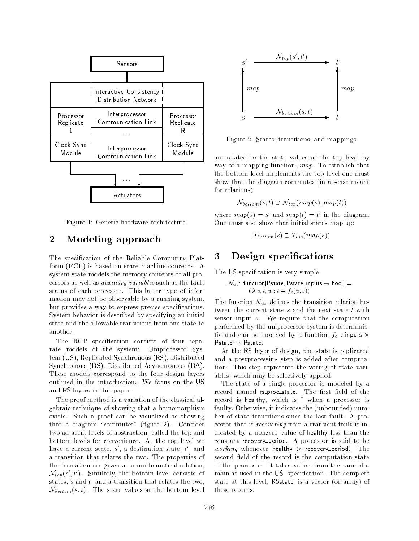

Figure 1: Generic hardware architecture.

### 2 Modeling approach

The specification of the Reliable Computing Platform (RCP) is based on state machine concepts. A system state models the memory contents of all processors as well as auxiliary variables such as the fault status of each processor. This latter type of information may not be observable by a running system, but provides a way to express precise specications. System behavior is described by specifying an initial state and the allowable transitions from one state to another.

The RCP specification consists of four separate models of the system: Uniprocessor System (US), Replicated Synchronous (RS), Distributed Synchronous (DS), Distributed Asynchronous (DA). These models correspond to the four design layers outlined in the introduction. We focus on the US and RS layers in this paper.

The proof method is a variation of the classical algebraic technique of showing that a homomorphism exists. Such a proof can be visualized as showing that a diagram "commutes" (figure 2). Consider two adjacent levels of abstraction, called the top and bottom levels for convenience. At the top level we nave a current state,  $s$  , a destination state,  $t$  , and a transition that relates the two. The properties of the transition are given as a mathematical relation,  $\mathcal{N}_{top}(s_-, t_-)$ . Similarly, the bottom level consists of states,  $s$  and  $t$ , and a transition that relates the two.  $N_{bottom}(s, t)$ . The state values at the bottom level



Figure 2: States, transitions, and mappings.

are related to the state values at the top level by way of a mapping function, map. To establish that the bottom level implements the top level one must show that the diagram commutes (in a sense meant for relations):

$$
\mathcal{N}_{bottom}(s,t) \supset \mathcal{N}_{top}(map(s),map(t))
$$

where  $map(s) = s$  and  $map(t) = t$  in the diagram. One must also show that initial states map up:

 $\mathcal{I}_{bottom}(s) \supset \mathcal{I}_{top}(map(s))$ 

#### Design specifications 3

The US specification is very simple:

$$
\mathcal{N}_{us}: \text{ function}[ \text{Pstate}, \text{Pstate}, \text{inputs} \rightarrow \text{bool} ] = \\ (\lambda \ s, t, u: t = f_c(u, s))
$$

The function  $\mathcal{N}_{us}$  defines the transition relation between the current state s and the next state t with sensor input  $u$ . We require that the computation performed by the uniprocessor system is deterministic and can be modeled by a function  $f_c$ : inputs  $\times$  $Pstate \rightarrow Pstate.$ 

At the RS layer of design, the state is replicated and a postprocessing step is added after computation. This step represents the voting of state variables, which may be selectively applied.

The state of a single processor is modeled by a record named rs\_proc\_state. The first field of the record is healthy, which is 0 when a processor is faulty. Otherwise, it indicates the (unbounded) number of state transitions since the last fault. A processor that is recovering from a transient fault is indicated by a nonzero value of healthy less than the constant recovery period. <sup>A</sup> processor is said to be *working* whenever healthy  $>$  recovery period. The second field of the record is the computation state of the processor. It takes values from the same domain as used in the US specification. The complete state at this level, RSstate, is a vector (or array) of these records.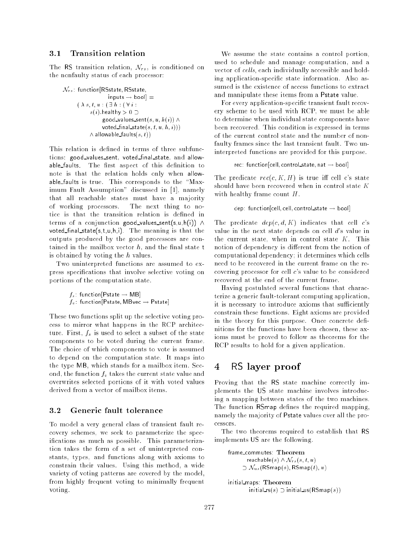### 3.1 Transition relation

The RS transition relation,  $\mathcal{N}_{rs}$ , is conditioned on the nonfaulty status of each processor:

```
\mathcal{N}_{rs} function[RSstate, RSstate,
                                         \cdots books in the books in the books in the books in the books in the books in the books in the books in the books in the books in the books in the books in the books in the books in the books in the books in the books i
     (\lambda s, t, u : (\exists h : (\forall i :s(i).healthy > 0 \supsetgood values sent (signalise provident in late of the sent of the sent of the sent of the sent of the sent of t
                                  voted nal state(s; t; u; h; i)))
                   \wedge allowable faults(s, t))
```
This relation is defined in terms of three subfunctions: good\_values\_sent, voted\_final\_state, and allowable\_faults. The first aspect of this definition to note is that the relation holds only when allowable faults is true. This corresponds to the "Maximum Fault Assumption" discussed in [1], namely that all reachable states must have a majority of working processors. The next thing to notice is that the transition relation is defined in terms of a conjunction good\_values\_sent(s,u,h(i))  $\wedge$ voted final state( $s, t, u, h, i$ ). The meaning is that the outputs produced by the good processors are contained in the mailbox vector  $h$ , and the final state  $t$ is obtained by voting the <sup>h</sup> values.

Two uninterpreted functions are assumed to express specications that involve selective voting on portions of the computation state.

> $f_s$  function [Pstate  $\rightarrow$  MB]  $f_v$  : function [Pstate, MBvec  $\rightarrow$  Pstate]

These two functions split up the selective voting process to mirror what happens in the RCP architecture. First,  $f_s$  is used to select a subset of the state components to be voted during the current frame. The choice of which components to vote is assumed to depend on the computation state. It maps into the type MB, which stands for a mailbox item. Second, the function  $f<sub>v</sub>$  takes the current state value and overwrites selected portions of it with voted values derived from a vector of mailbox items.

#### Generic fault tolerance 3.2

To model a very general class of transient fault recovery schemes, we seek to parameterize the specifications as much as possible. This parameterization takes the form of a set of uninterpreted constants, types, and functions along with axioms to constrain their values. Using this method, a wide variety of voting patterns are covered by the model, from highly frequent voting to minimally frequent voting.

We assume the state contains a control portion, used to schedule and manage computation, and a vector of cells, each individually accessible and holding application-specic state information. Also assumed is the existence of access functions to extract and manipulate these items from a Pstate value.

For every application-specic transient fault recovery scheme to be used with RCP, we must be able to determine when individual state components have been recovered. This condition is expressed in terms of the current control state and the number of nonfaulty frames since the last transient fault. Two uninterpreted functions are provided for this purpose.

rec: function[cell, control\_state, nat  $\rightarrow$  bool]

The predicate  $rec(c, K, H)$  is true iff cell c's state should have been recovered when in control state <sup>K</sup> with healthy frame count  $H$ .

dep: function[cell; cell; control state ! bool]

The predicate  $dep(c, d, K)$  indicates that cell c's value in the next state depends on cell <sup>d</sup>'s value in the current state, when in control state  $K$ . This notion of dependency is different from the notion of computational dependency; it determines which cells need to be recovered in the current frame on the recovering processor for cell <sup>c</sup>'s value to be considered recovered at the end of the current frame.

Having postulated several functions that characterize a generic fault-tolerant computing application, it is necessary to introduce axioms that sufficiently constrain these functions. Eight axioms are provided in the theory for this purpose. Once concrete definitions for the functions have been chosen, these axioms must be proved to follow as theorems for the RCP results to hold for a given application.

### 4 RS layer proof

Proving that the RS state machine correctly implements the US state machine involves introducing a mapping between states of the two machines. The function RSmap defines the required mapping, namely the majority of Pstate values over all the processors.

The two theorems required to establish that RS implements US are the following.

```
frame commutes: Theorem
reachable(s) \wedge \mathcal{N}_{rs}(s, t, u)\supset \mathcal{N}_{us}(\mathsf{RSmap}(s), \mathsf{RSmap}(t), u)
```

```
initial maps: Theorem
```

```
initial rs(s)  initial us(RSmap(s))
```